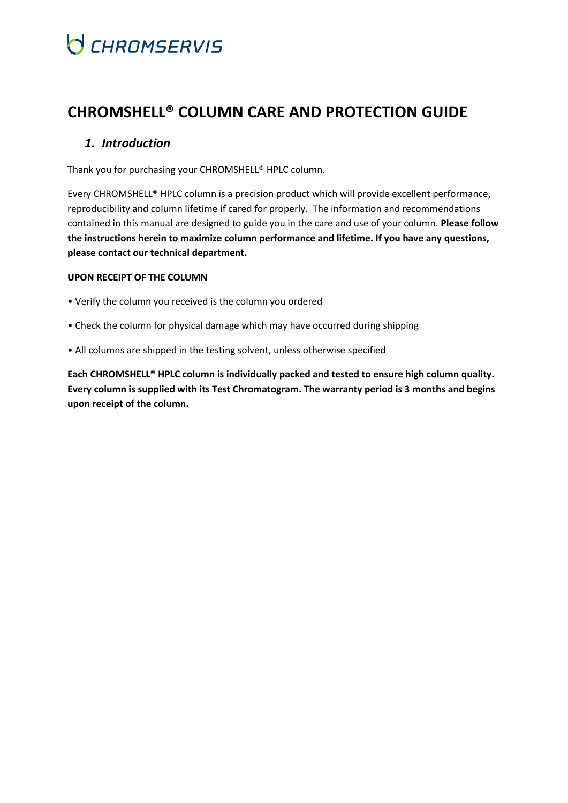## **CHROMSHELL® COLUMN CARE AND PROTECTION GUIDE**

### *1. Introduction*

Thank you for purchasing your CHROMSHELL® HPLC column.

Every CHROMSHELL® HPLC column is a precision product which will provide excellent performance, reproducibility and column lifetime if cared for properly. The information and recommendations contained in this manual are designed to guide you in the care and use of your column. **Please follow the instructions herein to maximize column performance and lifetime. If you have any questions, please contact our technical department.**

#### **UPON RECEIPT OF THE COLUMN**

- Verify the column you received is the column you ordered
- Check the column for physical damage which may have occurred during shipping
- All columns are shipped in the testing solvent, unless otherwise specified

**Each CHROMSHELL® HPLC column is individually packed and tested to ensure high column quality. Every column is supplied with its Test Chromatogram. The warranty period is 3 months and begins upon receipt of the column.**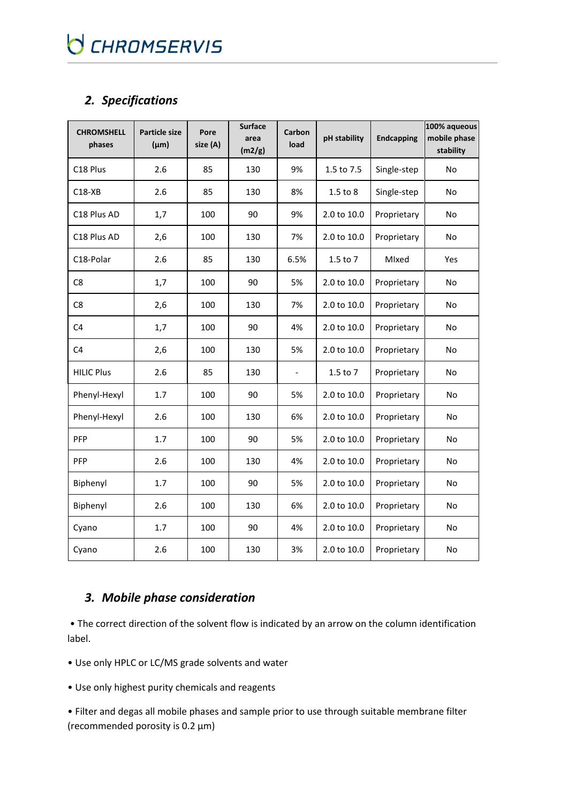## *2. Specifications*

| <b>CHROMSHELL</b><br>phases | <b>Particle size</b><br>$(\mu m)$ | Pore<br>size (A) | <b>Surface</b><br>area<br>(m2/g) | Carbon<br>load | pH stability | <b>Endcapping</b> | 100% aqueous<br>mobile phase<br>stability |
|-----------------------------|-----------------------------------|------------------|----------------------------------|----------------|--------------|-------------------|-------------------------------------------|
| C18 Plus                    | 2.6                               | 85               | 130                              | 9%             | 1.5 to 7.5   | Single-step       | No                                        |
| $C18-XB$                    | 2.6                               | 85               | 130                              | 8%             | $1.5$ to $8$ | Single-step       | No                                        |
| C18 Plus AD                 | 1,7                               | 100              | 90                               | 9%             | 2.0 to 10.0  | Proprietary       | No                                        |
| C18 Plus AD                 | 2,6                               | 100              | 130                              | 7%             | 2.0 to 10.0  | Proprietary       | No                                        |
| C18-Polar                   | 2.6                               | 85               | 130                              | 6.5%           | 1.5 to 7     | Mlxed             | Yes                                       |
| C8                          | 1,7                               | 100              | 90                               | 5%             | 2.0 to 10.0  | Proprietary       | No                                        |
| C8                          | 2,6                               | 100              | 130                              | 7%             | 2.0 to 10.0  | Proprietary       | No                                        |
| C4                          | 1,7                               | 100              | 90                               | 4%             | 2.0 to 10.0  | Proprietary       | No                                        |
| C <sub>4</sub>              | 2,6                               | 100              | 130                              | 5%             | 2.0 to 10.0  | Proprietary       | No                                        |
| <b>HILIC Plus</b>           | 2.6                               | 85               | 130                              |                | $1.5$ to $7$ | Proprietary       | No                                        |
| Phenyl-Hexyl                | 1.7                               | 100              | 90                               | 5%             | 2.0 to 10.0  | Proprietary       | No                                        |
| Phenyl-Hexyl                | 2.6                               | 100              | 130                              | 6%             | 2.0 to 10.0  | Proprietary       | No                                        |
| PFP                         | 1.7                               | 100              | 90                               | 5%             | 2.0 to 10.0  | Proprietary       | No                                        |
| PFP                         | 2.6                               | 100              | 130                              | 4%             | 2.0 to 10.0  | Proprietary       | <b>No</b>                                 |
| Biphenyl                    | 1.7                               | 100              | 90                               | 5%             | 2.0 to 10.0  | Proprietary       | No                                        |
| Biphenyl                    | 2.6                               | 100              | 130                              | 6%             | 2.0 to 10.0  | Proprietary       | No                                        |
| Cyano                       | 1.7                               | 100              | 90                               | 4%             | 2.0 to 10.0  | Proprietary       | No                                        |
| Cyano                       | 2.6                               | 100              | 130                              | 3%             | 2.0 to 10.0  | Proprietary       | No                                        |

### *3. Mobile phase consideration*

• The correct direction of the solvent flow is indicated by an arrow on the column identification label.

- Use only HPLC or LC/MS grade solvents and water
- Use only highest purity chemicals and reagents

• Filter and degas all mobile phases and sample prior to use through suitable membrane filter (recommended porosity is 0.2 µm)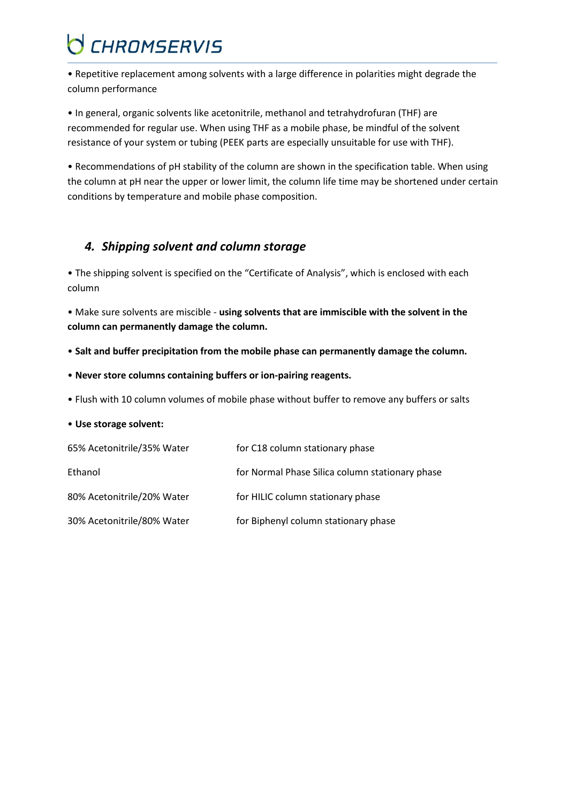• Repetitive replacement among solvents with a large difference in polarities might degrade the column performance

• In general, organic solvents like acetonitrile, methanol and tetrahydrofuran (THF) are recommended for regular use. When using THF as a mobile phase, be mindful of the solvent resistance of your system or tubing (PEEK parts are especially unsuitable for use with THF).

• Recommendations of pH stability of the column are shown in the specification table. When using the column at pH near the upper or lower limit, the column life time may be shortened under certain conditions by temperature and mobile phase composition.

### *4. Shipping solvent and column storage*

• The shipping solvent is specified on the "Certificate of Analysis", which is enclosed with each column

• Make sure solvents are miscible - **using solvents that are immiscible with the solvent in the column can permanently damage the column.**

- **Salt and buffer precipitation from the mobile phase can permanently damage the column.**
- **Never store columns containing buffers or ion-pairing reagents.**
- Flush with 10 column volumes of mobile phase without buffer to remove any buffers or salts

#### • **Use storage solvent:**

| 65% Acetonitrile/35% Water | for C18 column stationary phase                 |
|----------------------------|-------------------------------------------------|
| Ethanol                    | for Normal Phase Silica column stationary phase |
| 80% Acetonitrile/20% Water | for HILIC column stationary phase               |
| 30% Acetonitrile/80% Water | for Biphenyl column stationary phase            |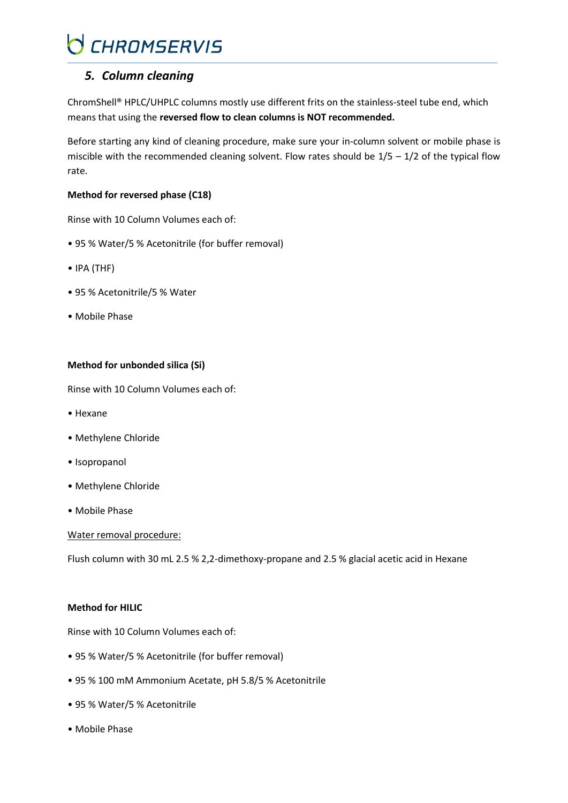### *5. Column cleaning*

ChromShell® HPLC/UHPLC columns mostly use different frits on the stainless-steel tube end, which means that using the **reversed flow to clean columns is NOT recommended.**

Before starting any kind of cleaning procedure, make sure your in-column solvent or mobile phase is miscible with the recommended cleaning solvent. Flow rates should be  $1/5 - 1/2$  of the typical flow rate.

#### **Method for reversed phase (C18)**

Rinse with 10 Column Volumes each of:

- 95 % Water/5 % Acetonitrile (for buffer removal)
- IPA (THF)
- 95 % Acetonitrile/5 % Water
- Mobile Phase

#### **Method for unbonded silica (Si)**

Rinse with 10 Column Volumes each of:

- Hexane
- Methylene Chloride
- Isopropanol
- Methylene Chloride
- Mobile Phase

Water removal procedure:

Flush column with 30 mL 2.5 % 2,2-dimethoxy-propane and 2.5 % glacial acetic acid in Hexane

#### **Method for HILIC**

Rinse with 10 Column Volumes each of:

- 95 % Water/5 % Acetonitrile (for buffer removal)
- 95 % 100 mM Ammonium Acetate, pH 5.8/5 % Acetonitrile
- 95 % Water/5 % Acetonitrile
- Mobile Phase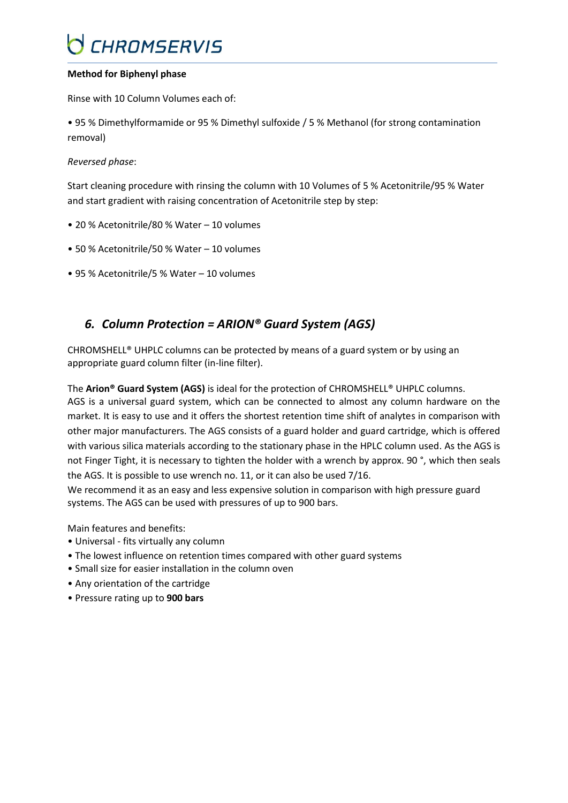#### **Method for Biphenyl phase**

Rinse with 10 Column Volumes each of:

• 95 % Dimethylformamide or 95 % Dimethyl sulfoxide / 5 % Methanol (for strong contamination removal)

#### *Reversed phase*:

Start cleaning procedure with rinsing the column with 10 Volumes of 5 % Acetonitrile/95 % Water and start gradient with raising concentration of Acetonitrile step by step:

- 20 % Acetonitrile/80 % Water 10 volumes
- 50 % Acetonitrile/50 % Water 10 volumes
- 95 % Acetonitrile/5 % Water 10 volumes

### *6. Column Protection = ARION® Guard System (AGS)*

CHROMSHELL® UHPLC columns can be protected by means of a guard system or by using an appropriate guard column filter (in-line filter).

The **Arion® Guard System (AGS)** is ideal for the protection of CHROMSHELL® UHPLC columns.

AGS is a universal guard system, which can be connected to almost any column hardware on the market. It is easy to use and it offers the shortest retention time shift of analytes in comparison with other major manufacturers. The AGS consists of a guard holder and guard cartridge, which is offered with various silica materials according to the stationary phase in the HPLC column used. As the AGS is not Finger Tight, it is necessary to tighten the holder with a wrench by approx. 90 °, which then seals the AGS. It is possible to use wrench no. 11, or it can also be used 7/16.

We recommend it as an easy and less expensive solution in comparison with high pressure guard systems. The AGS can be used with pressures of up to 900 bars.

Main features and benefits:

- Universal fits virtually any column
- The lowest influence on retention times compared with other guard systems
- Small size for easier installation in the column oven
- Any orientation of the cartridge
- Pressure rating up to **900 bars**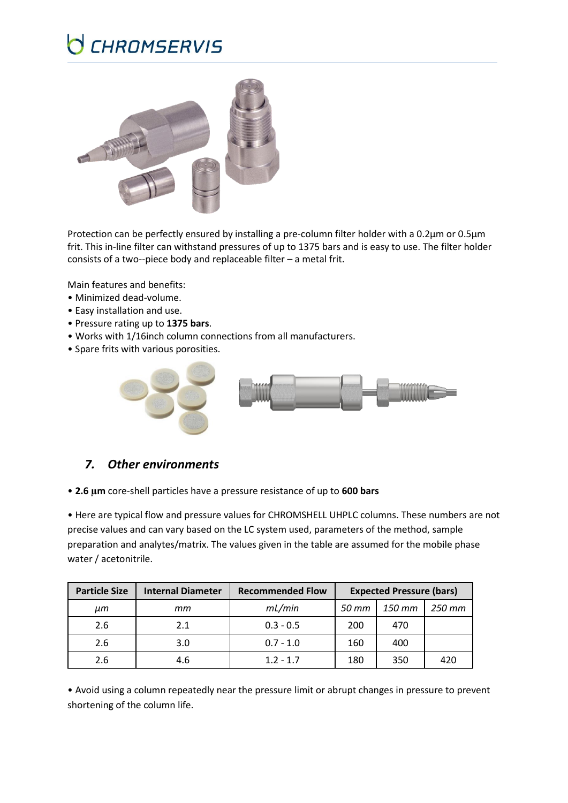

Protection can be perfectly ensured by installing a pre-column filter holder with a 0.2μm or 0.5μm frit. This in-line filter can withstand pressures of up to 1375 bars and is easy to use. The filter holder consists of a two--piece body and replaceable filter – a metal frit.

Main features and benefits:

- Minimized dead-volume.
- Easy installation and use.
- Pressure rating up to **1375 bars**.
- Works with 1/16inch column connections from all manufacturers.
- Spare frits with various porosities.



### *7. Other environments*

• **2.6 µm** core-shell particles have a pressure resistance of up to **600 bars**

• Here are typical flow and pressure values for CHROMSHELL UHPLC columns. These numbers are not precise values and can vary based on the LC system used, parameters of the method, sample preparation and analytes/matrix. The values given in the table are assumed for the mobile phase water / acetonitrile.

| <b>Particle Size</b> | <b>Internal Diameter</b> | <b>Recommended Flow</b> | <b>Expected Pressure (bars)</b> |        |        |
|----------------------|--------------------------|-------------------------|---------------------------------|--------|--------|
| ит                   | тm                       | mL/min                  | 50 mm                           | 150 mm | 250 mm |
| 2.6                  | 2.1                      | $0.3 - 0.5$             | 200                             | 470    |        |
| 2.6                  | 3.0                      | $0.7 - 1.0$             | 160                             | 400    |        |
| 2.6                  | 4.6                      | $1.2 - 1.7$             | 180                             | 350    | 420    |

• Avoid using a column repeatedly near the pressure limit or abrupt changes in pressure to prevent shortening of the column life.